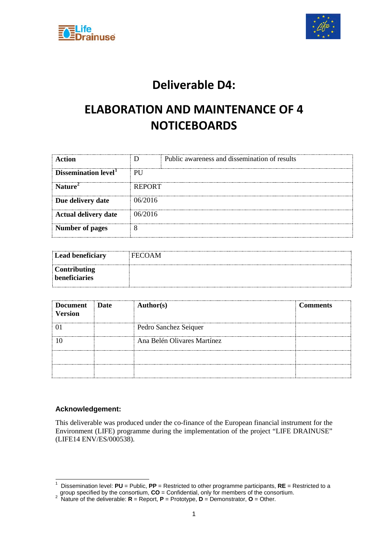



## **Deliverable D4:**

## **ELABORATION AND MAINTENANCE OF 4 NOTICEBOARDS**

| Action                           |               | Public awareness and dissemination of results |
|----------------------------------|---------------|-----------------------------------------------|
| Dissemination level <sup>1</sup> | PU            |                                               |
| Nature <sup>2</sup>              | <b>REPORT</b> |                                               |
| Due delivery date                | 06/2016       |                                               |
| <b>Actual delivery date</b>      | 06/2016       |                                               |
| <b>Number of pages</b>           |               |                                               |

| Lead beneficiary    | <b>FECOAM</b> |
|---------------------|---------------|
| <b>Contributing</b> |               |
| beneficiaries       |               |

| Document<br><b>Version</b> | <b>Date</b> | <b>Author(s)</b>            | <b>Comments</b> |
|----------------------------|-------------|-----------------------------|-----------------|
|                            |             | Pedro Sanchez Seiquer       |                 |
|                            |             | Ana Belén Olivares Martínez |                 |
|                            |             |                             |                 |
|                            |             |                             |                 |

#### **Acknowledgement:**

This deliverable was produced under the co-finance of the European financial instrument for the Environment (LIFE) programme during the implementation of the project "LIFE DRAINUSE" (LIFE14 ENV/ES/000538).

<span id="page-0-0"></span> <sup>1</sup> Dissemination level: **PU** = Public, **PP** = Restricted to other programme participants, **RE** = Restricted to a

<span id="page-0-1"></span>group specified by the consortium, **CO** = Confidential, only for members of the consortium. <sup>2</sup> Nature of the deliverable: **R** = Report, **P** = Prototype, **D** = Demonstrator, **O** = Other.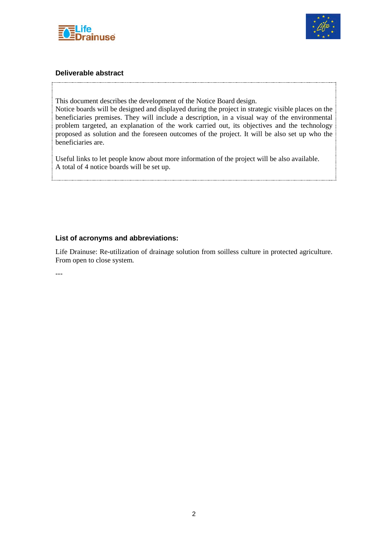



#### **Deliverable abstract**

This document describes the development of the Notice Board design.

Notice boards will be designed and displayed during the project in strategic visible places on the beneficiaries premises. They will include a description, in a visual way of the environmental problem targeted, an explanation of the work carried out, its objectives and the technology proposed as solution and the foreseen outcomes of the project. It will be also set up who the beneficiaries are.

Useful links to let people know about more information of the project will be also available. A total of 4 notice boards will be set up.

#### **List of acronyms and abbreviations:**

Life Drainuse: Re-utilization of drainage solution from soilless culture in protected agriculture. From open to close system.

---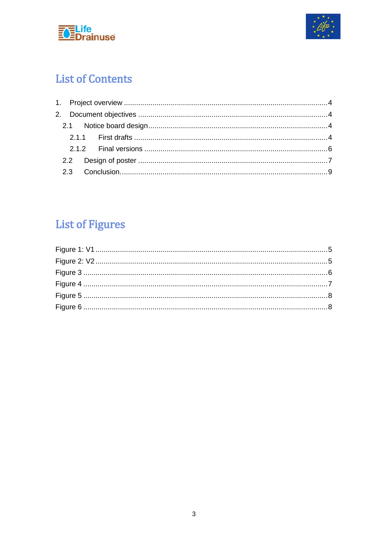



## **List of Contents**

# **List of Figures**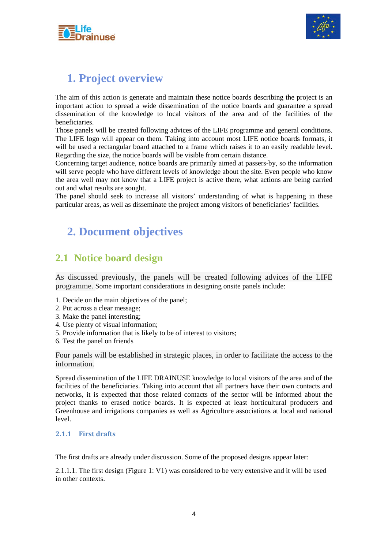



### <span id="page-3-0"></span>**1. Project overview**

The aim of this action is generate and maintain these notice boards describing the project is an important action to spread a wide dissemination of the notice boards and guarantee a spread dissemination of the knowledge to local visitors of the area and of the facilities of the beneficiaries.

Those panels will be created following advices of the LIFE programme and general conditions. The LIFE logo will appear on them. Taking into account most LIFE notice boards formats, it will be used a rectangular board attached to a frame which raises it to an easily readable level. Regarding the size, the notice boards will be visible from certain distance.

Concerning target audience, notice boards are primarily aimed at passers-by, so the information will serve people who have different levels of knowledge about the site. Even people who know the area well may not know that a LIFE project is active there, what actions are being carried out and what results are sought.

The panel should seek to increase all visitors' understanding of what is happening in these particular areas, as well as disseminate the project among visitors of beneficiaries' facilities.

### <span id="page-3-1"></span>**2. Document objectives**

### <span id="page-3-2"></span>**2.1 Notice board design**

As discussed previously, the panels will be created following advices of the LIFE programme. Some important considerations in designing onsite panels include:

- 1. Decide on the main objectives of the panel;
- 2. Put across a clear message;
- 3. Make the panel interesting;
- 4. Use plenty of visual information;
- 5. Provide information that is likely to be of interest to visitors;
- 6. Test the panel on friends

Four panels will be established in strategic places, in order to facilitate the access to the information.

Spread dissemination of the LIFE DRAINUSE knowledge to local visitors of the area and of the facilities of the beneficiaries. Taking into account that all partners have their own contacts and networks, it is expected that those related contacts of the sector will be informed about the project thanks to erased notice boards. It is expected at least horticultural producers and Greenhouse and irrigations companies as well as Agriculture associations at local and national level.

#### <span id="page-3-3"></span>**2.1.1 First drafts**

The first drafts are already under discussion. Some of the proposed designs appear later:

2.1.1.1. The first design (Figure 1: V1) was considered to be very extensive and it will be used in other contexts.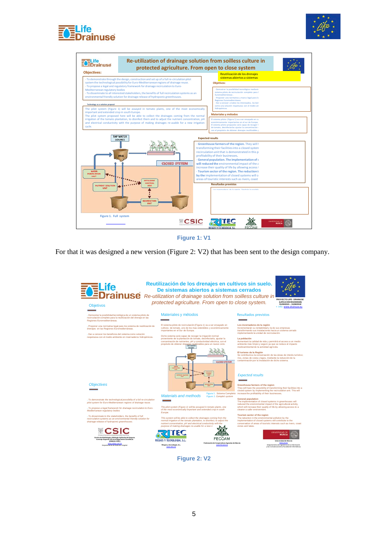





**Figure 1: V1**

<span id="page-4-0"></span>For that it was designed a new version (Figure 2: V2) that has been sent to the design company.



<span id="page-4-1"></span>**Figure 2: V2**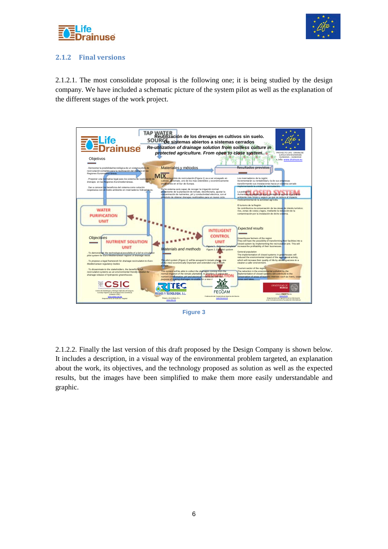



#### <span id="page-5-0"></span>**2.1.2 Final versions**

2.1.2.1. The most consolidate proposal is the following one; it is being studied by the design company. We have included a schematic picture of the system pilot as well as the explanation of the different stages of the work project.



**Figure 3**

<span id="page-5-1"></span>2.1.2.2. Finally the last version of this draft proposed by the Design Company is shown below. It includes a description, in a visual way of the environmental problem targeted, an explanation about the work, its objectives, and the technology proposed as solution as well as the expected results, but the images have been simplified to make them more easily understandable and graphic.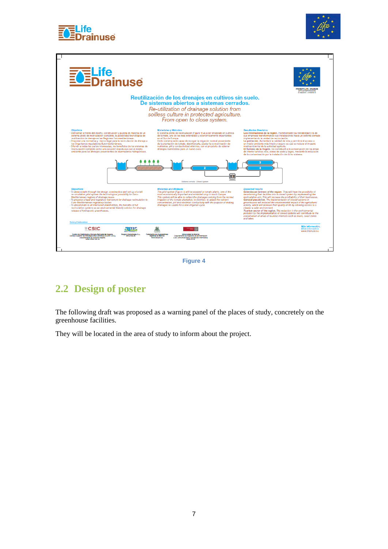





**Figure 4**

### <span id="page-6-1"></span><span id="page-6-0"></span>**2.2 Design of poster**

The following draft was proposed as a warning panel of the places of study, concretely on the greenhouse facilities.

They will be located in the area of study to inform about the project.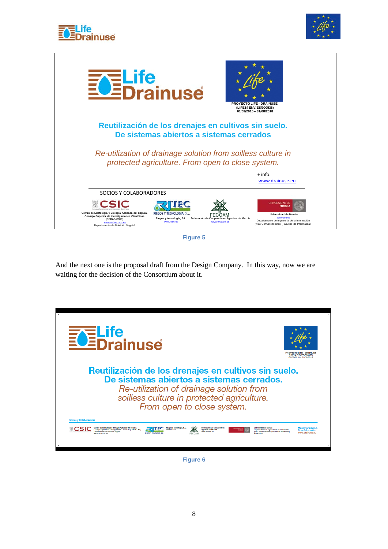





**Figure 5**

<span id="page-7-0"></span>And the next one is the proposal draft from the Design Company. In this way, now we are waiting for the decision of the Consortium about it.



<span id="page-7-1"></span>**Figure 6**